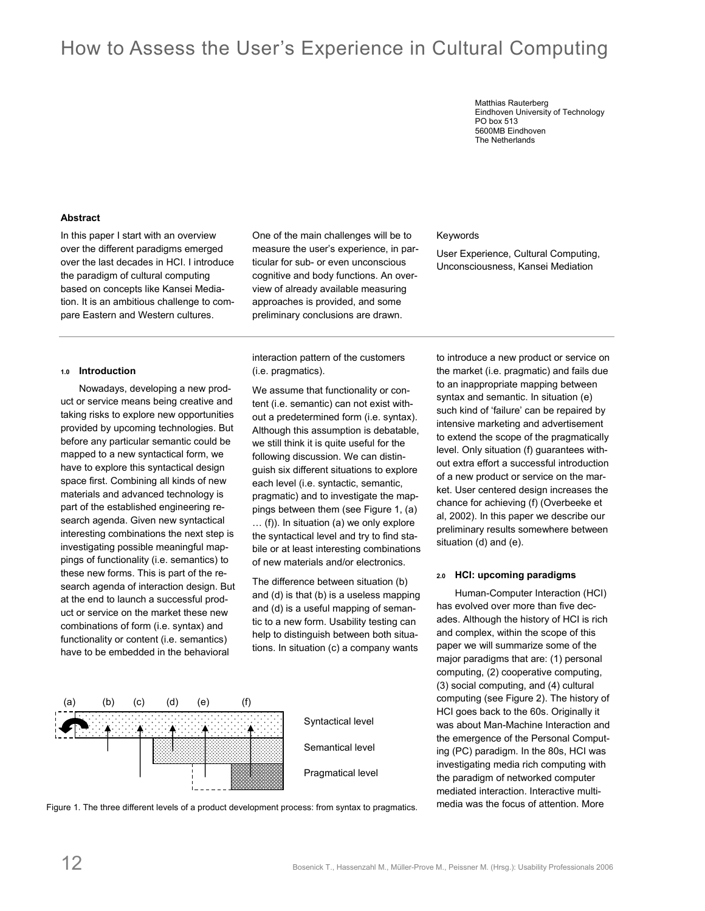# How to Assess the User's Experience in Cultural Computing

Matthias Rauterberg Eindhoven University of Technology PO box 513 5600MB Eindhoven The Netherlands

Keywords

### **Abstract**

In this paper I start with an overview over the different paradigms emerged over the last decades in HCI. I introduce the paradigm of cultural computing based on concepts like Kansei Mediation. It is an ambitious challenge to compare Eastern and Western cultures.

#### **1.0 Introduction**

Nowadays, developing a new product or service means being creative and taking risks to explore new opportunities provided by upcoming technologies. But before any particular semantic could be mapped to a new syntactical form, we have to explore this syntactical design space first. Combining all kinds of new materials and advanced technology is part of the established engineering research agenda. Given new syntactical interesting combinations the next step is investigating possible meaningful mappings of functionality (i.e. semantics) to these new forms. This is part of the research agenda of interaction design. But at the end to launch a successful product or service on the market these new combinations of form (i.e. syntax) and functionality or content (i.e. semantics) have to be embedded in the behavioral

One of the main challenges will be to measure the user's experience, in particular for sub- or even unconscious cognitive and body functions. An overview of already available measuring approaches is provided, and some preliminary conclusions are drawn.

## interaction pattern of the customers (i.e. pragmatics).

We assume that functionality or content (i.e. semantic) can not exist without a predetermined form (i.e. syntax). Although this assumption is debatable, we still think it is quite useful for the following discussion. We can distinguish six different situations to explore each level (i.e. syntactic, semantic, pragmatic) and to investigate the mappings between them (see Figure 1, (a) … (f)). In situation (a) we only explore the syntactical level and try to find stabile or at least interesting combinations of new materials and/or electronics.

The difference between situation (b) and (d) is that (b) is a useless mapping and (d) is a useful mapping of semantic to a new form. Usability testing can help to distinguish between both situations. In situation (c) a company wants





to introduce a new product or service on the market (i.e. pragmatic) and fails due to an inappropriate mapping between syntax and semantic. In situation (e) such kind of 'failure' can be repaired by intensive marketing and advertisement to extend the scope of the pragmatically level. Only situation (f) guarantees without extra effort a successful introduction of a new product or service on the market. User centered design increases the chance for achieving (f) (Overbeeke et al, 2002). In this paper we describe our preliminary results somewhere between situation (d) and (e).

User Experience, Cultural Computing, Unconsciousness, Kansei Mediation

#### **2.0 HCI: upcoming paradigms**

Human-Computer Interaction (HCI) has evolved over more than five decades. Although the history of HCI is rich and complex, within the scope of this paper we will summarize some of the major paradigms that are: (1) personal computing, (2) cooperative computing, (3) social computing, and (4) cultural computing (see Figure 2). The history of HCI goes back to the 60s. Originally it was about Man-Machine Interaction and the emergence of the Personal Computing (PC) paradigm. In the 80s, HCI was investigating media rich computing with the paradigm of networked computer mediated interaction. Interactive multimedia was the focus of attention. More

Figure 1. The three different levels of a product development process: from syntax to pragmatics.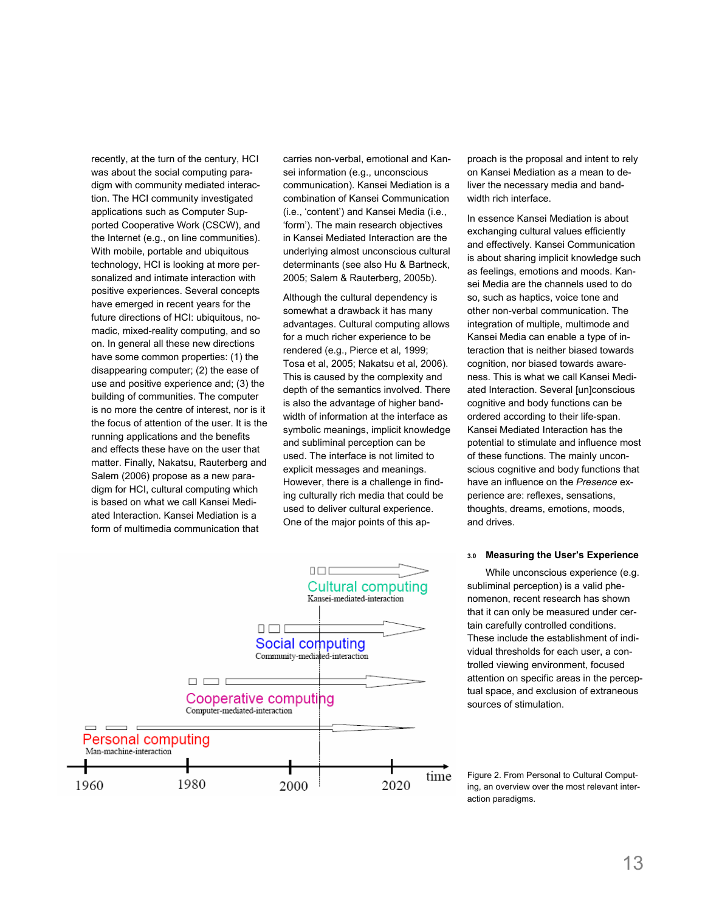recently, at the turn of the century, HCI was about the social computing paradigm with community mediated interaction. The HCI community investigated applications such as Computer Supported Cooperative Work (CSCW), and the Internet (e.g., on line communities). With mobile, portable and ubiquitous technology, HCI is looking at more personalized and intimate interaction with positive experiences. Several concepts have emerged in recent years for the future directions of HCI: ubiquitous, nomadic, mixed-reality computing, and so on. In general all these new directions have some common properties: (1) the disappearing computer; (2) the ease of use and positive experience and; (3) the building of communities. The computer is no more the centre of interest, nor is it the focus of attention of the user. It is the running applications and the benefits and effects these have on the user that matter. Finally, Nakatsu, Rauterberg and Salem (2006) propose as a new paradigm for HCI, cultural computing which is based on what we call Kansei Mediated Interaction. Kansei Mediation is a form of multimedia communication that

carries non-verbal, emotional and Kansei information (e.g., unconscious communication). Kansei Mediation is a combination of Kansei Communication (i.e., 'content') and Kansei Media (i.e., 'form'). The main research objectives in Kansei Mediated Interaction are the underlying almost unconscious cultural determinants (see also Hu & Bartneck, 2005; Salem & Rauterberg, 2005b).

Although the cultural dependency is somewhat a drawback it has many advantages. Cultural computing allows for a much richer experience to be rendered (e.g., Pierce et al, 1999; Tosa et al, 2005; Nakatsu et al, 2006). This is caused by the complexity and depth of the semantics involved. There is also the advantage of higher bandwidth of information at the interface as symbolic meanings, implicit knowledge and subliminal perception can be used. The interface is not limited to explicit messages and meanings. However, there is a challenge in finding culturally rich media that could be used to deliver cultural experience. One of the major points of this ap-



proach is the proposal and intent to rely on Kansei Mediation as a mean to deliver the necessary media and bandwidth rich interface.

In essence Kansei Mediation is about exchanging cultural values efficiently and effectively. Kansei Communication is about sharing implicit knowledge such as feelings, emotions and moods. Kansei Media are the channels used to do so, such as haptics, voice tone and other non-verbal communication. The integration of multiple, multimode and Kansei Media can enable a type of interaction that is neither biased towards cognition, nor biased towards awareness. This is what we call Kansei Mediated Interaction. Several [un]conscious cognitive and body functions can be ordered according to their life-span. Kansei Mediated Interaction has the potential to stimulate and influence most of these functions. The mainly unconscious cognitive and body functions that have an influence on the *Presence* experience are: reflexes, sensations, thoughts, dreams, emotions, moods, and drives.

### **3.0 Measuring the User's Experience**

While unconscious experience (e.g. subliminal perception) is a valid phenomenon, recent research has shown that it can only be measured under certain carefully controlled conditions. These include the establishment of individual thresholds for each user, a controlled viewing environment, focused attention on specific areas in the perceptual space, and exclusion of extraneous sources of stimulation.

Figure 2. From Personal to Cultural Computing, an overview over the most relevant interaction paradigms.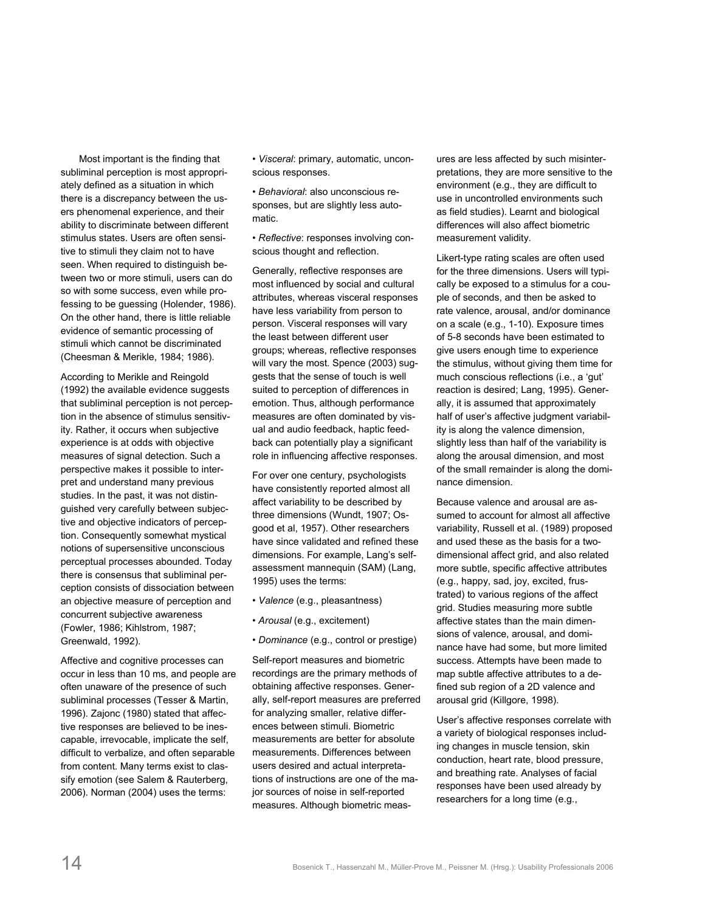Most important is the finding that subliminal perception is most appropriately defined as a situation in which there is a discrepancy between the users phenomenal experience, and their ability to discriminate between different stimulus states. Users are often sensitive to stimuli they claim not to have seen. When required to distinguish between two or more stimuli, users can do so with some success, even while professing to be guessing (Holender, 1986). On the other hand, there is little reliable evidence of semantic processing of stimuli which cannot be discriminated (Cheesman & Merikle, 1984; 1986).

According to Merikle and Reingold (1992) the available evidence suggests that subliminal perception is not perception in the absence of stimulus sensitivity. Rather, it occurs when subjective experience is at odds with objective measures of signal detection. Such a perspective makes it possible to interpret and understand many previous studies. In the past, it was not distinguished very carefully between subjective and objective indicators of perception. Consequently somewhat mystical notions of supersensitive unconscious perceptual processes abounded. Today there is consensus that subliminal perception consists of dissociation between an objective measure of perception and concurrent subjective awareness (Fowler, 1986; Kihlstrom, 1987; Greenwald, 1992).

Affective and cognitive processes can occur in less than 10 ms, and people are often unaware of the presence of such subliminal processes (Tesser & Martin, 1996). Zajonc (1980) stated that affective responses are believed to be inescapable, irrevocable, implicate the self, difficult to verbalize, and often separable from content. Many terms exist to classify emotion (see Salem & Rauterberg, 2006). Norman (2004) uses the terms:

• *Visceral*: primary, automatic, unconscious responses.

• *Behavioral*: also unconscious responses, but are slightly less automatic.

• *Reflective*: responses involving conscious thought and reflection.

Generally, reflective responses are most influenced by social and cultural attributes, whereas visceral responses have less variability from person to person. Visceral responses will vary the least between different user groups; whereas, reflective responses will vary the most. Spence (2003) suggests that the sense of touch is well suited to perception of differences in emotion. Thus, although performance measures are often dominated by visual and audio feedback, haptic feedback can potentially play a significant role in influencing affective responses.

For over one century, psychologists have consistently reported almost all affect variability to be described by three dimensions (Wundt, 1907; Osgood et al, 1957). Other researchers have since validated and refined these dimensions. For example, Lang's selfassessment mannequin (SAM) (Lang, 1995) uses the terms:

- *Valence* (e.g., pleasantness)
- *Arousal* (e.g., excitement)
- *Dominance* (e.g., control or prestige)

Self-report measures and biometric recordings are the primary methods of obtaining affective responses. Generally, self-report measures are preferred for analyzing smaller, relative differences between stimuli. Biometric measurements are better for absolute measurements. Differences between users desired and actual interpretations of instructions are one of the major sources of noise in self-reported measures. Although biometric meas-

ures are less affected by such misinterpretations, they are more sensitive to the environment (e.g., they are difficult to use in uncontrolled environments such as field studies). Learnt and biological differences will also affect biometric measurement validity.

Likert-type rating scales are often used for the three dimensions. Users will typically be exposed to a stimulus for a couple of seconds, and then be asked to rate valence, arousal, and/or dominance on a scale (e.g., 1-10). Exposure times of 5-8 seconds have been estimated to give users enough time to experience the stimulus, without giving them time for much conscious reflections (i.e., a 'gut' reaction is desired; Lang, 1995). Generally, it is assumed that approximately half of user's affective judgment variability is along the valence dimension, slightly less than half of the variability is along the arousal dimension, and most of the small remainder is along the dominance dimension.

Because valence and arousal are assumed to account for almost all affective variability, Russell et al. (1989) proposed and used these as the basis for a twodimensional affect grid, and also related more subtle, specific affective attributes (e.g., happy, sad, joy, excited, frustrated) to various regions of the affect grid. Studies measuring more subtle affective states than the main dimensions of valence, arousal, and dominance have had some, but more limited success. Attempts have been made to map subtle affective attributes to a defined sub region of a 2D valence and arousal grid (Killgore, 1998).

User's affective responses correlate with a variety of biological responses including changes in muscle tension, skin conduction, heart rate, blood pressure, and breathing rate. Analyses of facial responses have been used already by researchers for a long time (e.g.,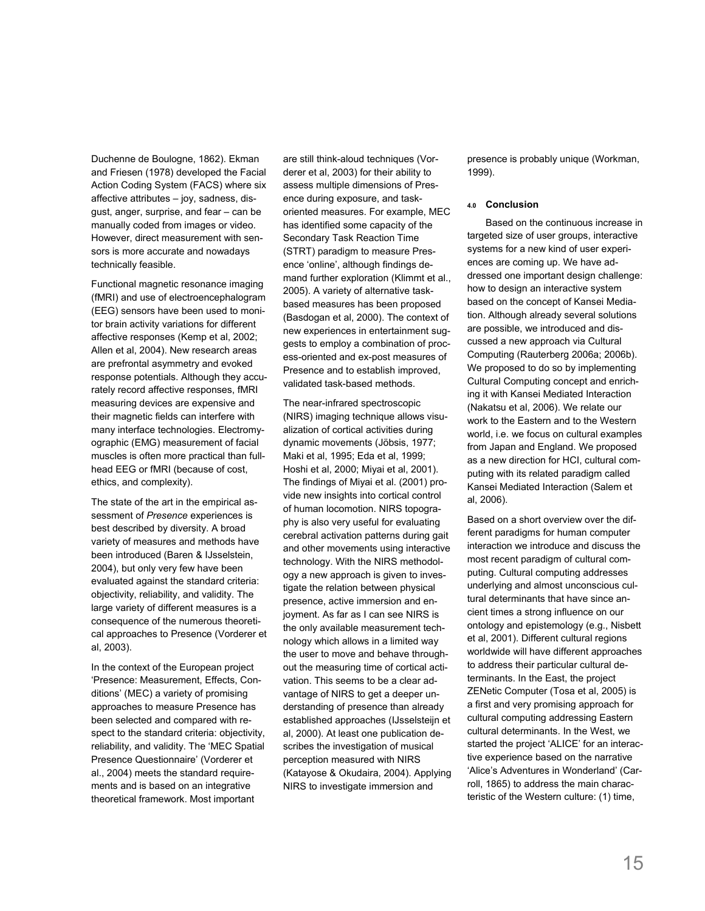Duchenne de Boulogne, 1862). Ekman and Friesen (1978) developed the Facial Action Coding System (FACS) where six affective attributes – joy, sadness, disgust, anger, surprise, and fear – can be manually coded from images or video. However, direct measurement with sensors is more accurate and nowadays technically feasible.

Functional magnetic resonance imaging (fMRI) and use of electroencephalogram (EEG) sensors have been used to monitor brain activity variations for different affective responses (Kemp et al, 2002; Allen et al, 2004). New research areas are prefrontal asymmetry and evoked response potentials. Although they accurately record affective responses, fMRI measuring devices are expensive and their magnetic fields can interfere with many interface technologies. Electromyographic (EMG) measurement of facial muscles is often more practical than fullhead EEG or fMRI (because of cost, ethics, and complexity).

The state of the art in the empirical assessment of *Presence* experiences is best described by diversity. A broad variety of measures and methods have been introduced (Baren & IJsselstein, 2004), but only very few have been evaluated against the standard criteria: objectivity, reliability, and validity. The large variety of different measures is a consequence of the numerous theoretical approaches to Presence (Vorderer et al, 2003).

In the context of the European project 'Presence: Measurement, Effects, Conditions' (MEC) a variety of promising approaches to measure Presence has been selected and compared with respect to the standard criteria: objectivity, reliability, and validity. The 'MEC Spatial Presence Questionnaire' (Vorderer et al., 2004) meets the standard requirements and is based on an integrative theoretical framework. Most important

are still think-aloud techniques (Vorderer et al, 2003) for their ability to assess multiple dimensions of Presence during exposure, and taskoriented measures. For example, MEC has identified some capacity of the Secondary Task Reaction Time (STRT) paradigm to measure Presence 'online', although findings demand further exploration (Klimmt et al., 2005). A variety of alternative taskbased measures has been proposed (Basdogan et al, 2000). The context of new experiences in entertainment suggests to employ a combination of process-oriented and ex-post measures of Presence and to establish improved, validated task-based methods.

The near-infrared spectroscopic (NIRS) imaging technique allows visualization of cortical activities during dynamic movements (Jöbsis, 1977; Maki et al, 1995; Eda et al, 1999; Hoshi et al, 2000; Miyai et al, 2001). The findings of Miyai et al. (2001) provide new insights into cortical control of human locomotion. NIRS topography is also very useful for evaluating cerebral activation patterns during gait and other movements using interactive technology. With the NIRS methodology a new approach is given to investigate the relation between physical presence, active immersion and enjoyment. As far as I can see NIRS is the only available measurement technology which allows in a limited way the user to move and behave throughout the measuring time of cortical activation. This seems to be a clear advantage of NIRS to get a deeper understanding of presence than already established approaches (IJsselsteijn et al, 2000). At least one publication describes the investigation of musical perception measured with NIRS (Katayose & Okudaira, 2004). Applying NIRS to investigate immersion and

presence is probably unique (Workman, 1999).

## **4.0 Conclusion**

Based on the continuous increase in targeted size of user groups, interactive systems for a new kind of user experiences are coming up. We have addressed one important design challenge: how to design an interactive system based on the concept of Kansei Mediation. Although already several solutions are possible, we introduced and discussed a new approach via Cultural Computing (Rauterberg 2006a; 2006b). We proposed to do so by implementing Cultural Computing concept and enriching it with Kansei Mediated Interaction (Nakatsu et al, 2006). We relate our work to the Eastern and to the Western world, i.e. we focus on cultural examples from Japan and England. We proposed as a new direction for HCI, cultural computing with its related paradigm called Kansei Mediated Interaction (Salem et al, 2006).

Based on a short overview over the different paradigms for human computer interaction we introduce and discuss the most recent paradigm of cultural computing. Cultural computing addresses underlying and almost unconscious cultural determinants that have since ancient times a strong influence on our ontology and epistemology (e.g., Nisbett et al, 2001). Different cultural regions worldwide will have different approaches to address their particular cultural determinants. In the East, the project ZENetic Computer (Tosa et al, 2005) is a first and very promising approach for cultural computing addressing Eastern cultural determinants. In the West, we started the project 'ALICE' for an interactive experience based on the narrative 'Alice's Adventures in Wonderland' (Carroll, 1865) to address the main characteristic of the Western culture: (1) time,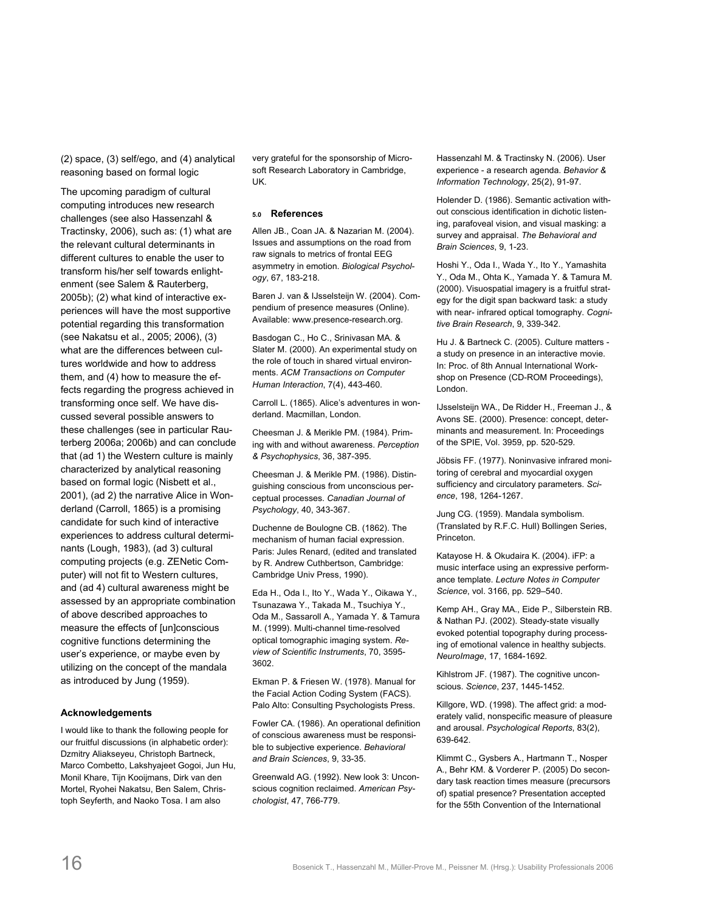(2) space, (3) self/ego, and (4) analytical reasoning based on formal logic

The upcoming paradigm of cultural computing introduces new research challenges (see also Hassenzahl & Tractinsky, 2006), such as: (1) what are the relevant cultural determinants in different cultures to enable the user to transform his/her self towards enlightenment (see Salem & Rauterberg, 2005b); (2) what kind of interactive experiences will have the most supportive potential regarding this transformation (see Nakatsu et al., 2005; 2006), (3) what are the differences between cultures worldwide and how to address them, and (4) how to measure the effects regarding the progress achieved in transforming once self. We have discussed several possible answers to these challenges (see in particular Rauterberg 2006a; 2006b) and can conclude that (ad 1) the Western culture is mainly characterized by analytical reasoning based on formal logic (Nisbett et al., 2001), (ad 2) the narrative Alice in Wonderland (Carroll, 1865) is a promising candidate for such kind of interactive experiences to address cultural determinants (Lough, 1983), (ad 3) cultural computing projects (e.g. ZENetic Computer) will not fit to Western cultures, and (ad 4) cultural awareness might be assessed by an appropriate combination of above described approaches to measure the effects of [un]conscious cognitive functions determining the user's experience, or maybe even by utilizing on the concept of the mandala as introduced by Jung (1959).

## **Acknowledgements**

I would like to thank the following people for our fruitful discussions (in alphabetic order): Dzmitry Aliakseyeu, Christoph Bartneck, Marco Combetto, Lakshyajeet Gogoi, Jun Hu, Monil Khare, Tijn Kooijmans, Dirk van den Mortel, Ryohei Nakatsu, Ben Salem, Christoph Seyferth, and Naoko Tosa. I am also

very grateful for the sponsorship of Microsoft Research Laboratory in Cambridge, UK.

### **5.0 References**

Allen JB., Coan JA. & Nazarian M. (2004). Issues and assumptions on the road from raw signals to metrics of frontal EEG asymmetry in emotion. *Biological Psychology*, 67, 183-218.

Baren J. van & IJsselsteijn W. (2004). Compendium of presence measures (Online). Available: www.presence-research.org.

Basdogan C., Ho C., Srinivasan MA. & Slater M. (2000). An experimental study on the role of touch in shared virtual environments. *ACM Transactions on Computer Human Interaction*, 7(4), 443-460.

Carroll L. (1865). Alice's adventures in wonderland. Macmillan, London.

Cheesman J. & Merikle PM. (1984). Priming with and without awareness. *Perception & Psychophysics*, 36, 387-395.

Cheesman J. & Merikle PM. (1986). Distinguishing conscious from unconscious perceptual processes. *Canadian Journal of Psychology*, 40, 343-367.

Duchenne de Boulogne CB. (1862). The mechanism of human facial expression. Paris: Jules Renard, (edited and translated by R. Andrew Cuthbertson, Cambridge: Cambridge Univ Press, 1990).

Eda H., Oda I., Ito Y., Wada Y., Oikawa Y., Tsunazawa Y., Takada M., Tsuchiya Y., Oda M., Sassaroll A., Yamada Y. & Tamura M. (1999). Multi-channel time-resolved optical tomographic imaging system. *Review of Scientific Instruments*, 70, 3595- 3602.

Ekman P. & Friesen W. (1978). Manual for the Facial Action Coding System (FACS). Palo Alto: Consulting Psychologists Press.

Fowler CA. (1986). An operational definition of conscious awareness must be responsible to subjective experience. *Behavioral and Brain Sciences*, 9, 33-35.

Greenwald AG. (1992). New look 3: Unconscious cognition reclaimed. *American Psychologist*, 47, 766-779.

Hassenzahl M. & Tractinsky N. (2006). User experience - a research agenda. *Behavior & Information Technology*, 25(2), 91-97.

Holender D. (1986). Semantic activation without conscious identification in dichotic listening, parafoveal vision, and visual masking: a survey and appraisal. *The Behavioral and Brain Sciences*, 9, 1-23.

Hoshi Y., Oda I., Wada Y., Ito Y., Yamashita Y., Oda M., Ohta K., Yamada Y. & Tamura M. (2000). Visuospatial imagery is a fruitful strategy for the digit span backward task: a study with near- infrared optical tomography. *Cognitive Brain Research*, 9, 339-342.

Hu J. & Bartneck C. (2005). Culture matters a study on presence in an interactive movie. In: Proc. of 8th Annual International Workshop on Presence (CD-ROM Proceedings), London.

IJsselsteijn WA., De Ridder H., Freeman J., & Avons SE. (2000). Presence: concept, determinants and measurement. In: Proceedings of the SPIE, Vol. 3959, pp. 520-529.

Jöbsis FF. (1977). Noninvasive infrared monitoring of cerebral and myocardial oxygen sufficiency and circulatory parameters. *Science*, 198, 1264-1267.

Jung CG. (1959). Mandala symbolism. (Translated by R.F.C. Hull) Bollingen Series, Princeton.

Katayose H. & Okudaira K. (2004). iFP: a music interface using an expressive performance template. *Lecture Notes in Computer Science*, vol. 3166, pp. 529–540.

Kemp AH., Gray MA., Eide P., Silberstein RB. & Nathan PJ. (2002). Steady-state visually evoked potential topography during processing of emotional valence in healthy subjects. *NeuroImage*, 17, 1684-1692.

Kihlstrom JF. (1987). The cognitive unconscious. *Science*, 237, 1445-1452.

Killgore, WD. (1998). The affect grid: a moderately valid, nonspecific measure of pleasure and arousal. *Psychological Reports*, 83(2), 639-642.

Klimmt C., Gysbers A., Hartmann T., Nosper A., Behr KM. & Vorderer P. (2005) Do secondary task reaction times measure (precursors of) spatial presence? Presentation accepted for the 55th Convention of the International